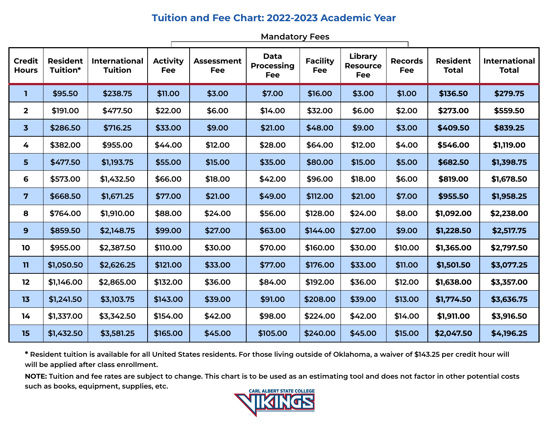## **Tuition and Fee Chart: 2022-2023 Academic Year**

п

**Mandatory Fees**

| <b>Credit</b><br><b>Hours</b> | <b>Resident</b><br>Tuition* | <b>International</b><br><b>Tuition</b> | <b>Activity</b><br><b>Fee</b> | <b>Assessment</b><br><b>Fee</b> | <b>Data</b><br><b>Processing</b><br><b>Fee</b> | <b>Facility</b><br><b>Fee</b> | <b>Library</b><br><b>Resource</b><br><b>Fee</b> | <b>Records</b><br><b>Fee</b> | <b>Resident</b><br><b>Total</b> | <b>International</b><br><b>Total</b> |
|-------------------------------|-----------------------------|----------------------------------------|-------------------------------|---------------------------------|------------------------------------------------|-------------------------------|-------------------------------------------------|------------------------------|---------------------------------|--------------------------------------|
| T                             | \$95.50                     | \$238.75                               | \$11.00                       | \$3.00                          | \$7.00                                         | \$16.00                       | \$3.00                                          | \$1.00                       | \$136.50                        | \$279.75                             |
| $\mathbf 2$                   | \$191.00                    | \$477.50                               | \$22.00                       | \$6.00                          | \$14.00                                        | \$32.00                       | \$6.00                                          | \$2.00                       | \$273.00                        | \$559.50                             |
| $\overline{\mathbf{3}}$       | \$286.50                    | \$716.25                               | \$33.00                       | \$9.00                          | \$21.00                                        | \$48.00                       | \$9.00                                          | \$3.00                       | \$409.50                        | \$839.25                             |
| 4                             | \$382.00                    | \$955.00                               | \$44.00                       | \$12.00                         | \$28.00                                        | \$64.00                       | \$12.00                                         | \$4.00                       | \$546.00                        | \$1,119.00                           |
| 5                             | \$477.50                    | \$1,193.75                             | \$55.00                       | \$15.00                         | \$35.00                                        | \$80.00                       | \$15.00                                         | \$5.00                       | \$682.50                        | \$1,398.75                           |
| 6                             | \$573.00                    | \$1,432.50                             | \$66.00                       | \$18.00                         | \$42.00                                        | \$96.00                       | \$18.00                                         | \$6.00                       | \$819.00                        | \$1,678.50                           |
| $\overline{7}$                | \$668.50                    | \$1,671.25                             | \$77.00                       | \$21.00                         | \$49.00                                        | \$112.00                      | \$21.00                                         | \$7.00                       | \$955.50                        | \$1,958.25                           |
| 8                             | \$764.00                    | \$1,910.00                             | \$88.00                       | \$24.00                         | \$56.00                                        | \$128.00                      | \$24.00                                         | \$8.00                       | \$1,092.00                      | \$2,238.00                           |
| 9                             | \$859.50                    | \$2,148.75                             | \$99.00                       | \$27.00                         | \$63.00                                        | \$144.00                      | \$27.00                                         | \$9.00                       | \$1,228.50                      | \$2,517.75                           |
| 10                            | \$955.00                    | \$2,387.50                             | \$110.00                      | \$30.00                         | \$70.00                                        | \$160.00                      | \$30.00                                         | \$10.00                      | \$1,365.00                      | \$2,797.50                           |
| $\mathbf{H}$                  | \$1,050.50                  | \$2,626.25                             | \$121.00                      | \$33.00                         | \$77.00                                        | \$176.00                      | \$33.00                                         | \$11.00                      | \$1,501.50                      | \$3,077.25                           |
| 12                            | \$1,146.00                  | \$2,865.00                             | \$132.00                      | \$36.00                         | \$84.00                                        | \$192.00                      | \$36.00                                         | \$12.00                      | \$1,638.00                      | \$3,357.00                           |
| 13                            | \$1,241.50                  | \$3,103.75                             | \$143.00                      | \$39.00                         | \$91.00                                        | \$208.00                      | \$39.00                                         | \$13.00                      | \$1,774.50                      | \$3,636.75                           |
| 14                            | \$1,337.00                  | \$3,342.50                             | \$154.00                      | \$42.00                         | \$98.00                                        | \$224.00                      | \$42.00                                         | \$14.00                      | \$1,911.00                      | \$3,916.50                           |
| 15                            | \$1,432.50                  | \$3,581.25                             | \$165.00                      | \$45.00                         | \$105.00                                       | \$240.00                      | \$45.00                                         | \$15.00                      | \$2,047.50                      | \$4,196.25                           |

\* Resident tuition is available for all United States residents. For those living outside of Oklahoma, a waiver of \$143.25 per credit hour will **will be applied after class enrollment.**

NOTE: Tuition and fee rates are subject to change. This chart is to be used as an estimating tool and does not factor in other potential costs **such as books, equipment, supplies, etc.**